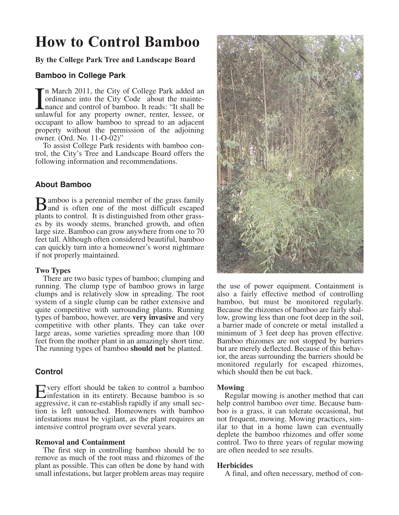# **How to Control Bamboo**

**By the College Park Tree and Landscape Board**

# **Bamboo in College Park**

In March 2011, the City of College Park added an ordinance into the City Code about the mainte-<br>nance and control of bamboo. It reads: "It shall be<br>unlawful for any property owner, renter, lessee, or n March 2011, the City of College Park added an ordinance into the City Code about the maintenance and control of bamboo. It reads: "It shall be occupant to allow bamboo to spread to an adjacent property without the permission of the adjoining owner. (Ord. No. 11-O-02)"

To assist College Park residents with bamboo control, the City's Tree and Landscape Board offers the following information and recommendations.

## **About Bamboo**

**B**amboo is a perennial member of the grass family<br>and is often one of the most difficult escaped plants to control. It is distinguished from other grasses by its woody stems, branched growth, and often large size. Bamboo can grow anywhere from one to 70 feet tall. Although often considered beautiful, bamboo can quickly turn into a homeowner's worst nightmare if not properly maintained.

## **Two Types**

There are two basic types of bamboo; clumping and running. The clump type of bamboo grows in large clumps and is relatively slow in spreading. The root system of a single clump can be rather extensive and quite competitive with surrounding plants. Running types of bamboo, however, are **very invasive** and very competitive with other plants. They can take over large areas, some varieties spreading more than 100 feet from the mother plant in an amazingly short time. The running types of bamboo **should not** be planted.

# **Control**

Every effort should be taken to control a bamboo<br>
infestation in its entirety. Because bamboo is so aggressive, it can re-establish rapidly if any small section is left untouched. Homeowners with bamboo infestations must be vigilant, as the plant requires an intensive control program over several years.

## **Removal and Containment**

The first step in controlling bamboo should be to remove as much of the root mass and rhizomes of the plant as possible. This can often be done by hand with small infestations, but larger problem areas may require



the use of power equipment. Containment is also a fairly effective method of controlling bamboo, but must be monitored regularly. Because the rhizomes of bamboo are fairly shallow, growing less than one foot deep in the soil, a barrier made of concrete or metal installed a minimum of 3 feet deep has proven effective. Bamboo rhizomes are not stopped by barriers but are merely deflected. Because of this behavior, the areas surrounding the barriers should be monitored regularly for escaped rhizomes, which should then be cut back.

## **Mowing**

Regular mowing is another method that can help control bamboo over time. Because bamboo is a grass, it can tolerate occasional, but not frequent, mowing. Mowing practices, similar to that in a home lawn can eventually deplete the bamboo rhizomes and offer some control. Two to three years of regular mowing are often needed to see results.

## **Herbicides**

A final, and often necessary, method of con-